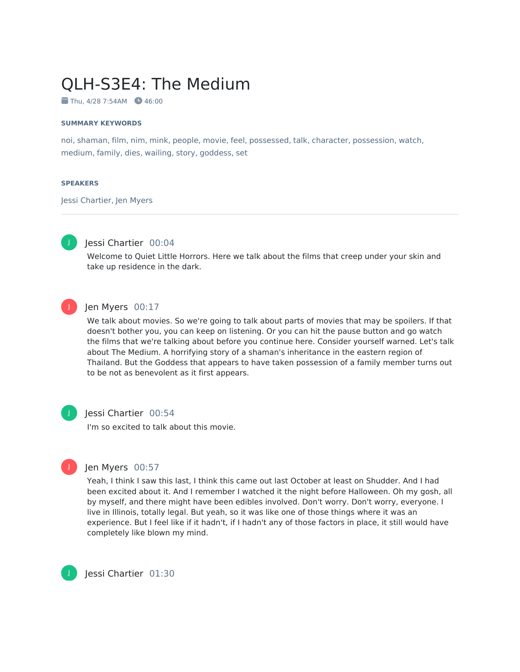# QLH-S3E4: The Medium

 $\blacksquare$  Thu, 4/28 7:54AM  $\blacksquare$  46:00

#### **SUMMARY KEYWORDS**

noi, shaman, film, nim, mink, people, movie, feel, possessed, talk, character, possession, watch, medium, family, dies, wailing, story, goddess, set

#### **SPEAKERS**

Jessi Chartier, Jen Myers



#### Jessi Chartier 00:04

Welcome to Quiet Little Horrors. Here we talk about the films that creep under your skin and take up residence in the dark.



#### Jen Myers 00:17

We talk about movies. So we're going to talk about parts of movies that may be spoilers. If that doesn't bother you, you can keep on listening. Or you can hit the pause button and go watch the films that we're talking about before you continue here. Consider yourself warned. Let's talk about The Medium. A horrifying story of a shaman's inheritance in the eastern region of Thailand. But the Goddess that appears to have taken possession of a family member turns out to be not as benevolent as it first appears.



#### Jessi Chartier 00:54

I'm so excited to talk about this movie.



#### Jen Myers 00:57

Yeah, I think I saw this last, I think this came out last October at least on Shudder. And I had been excited about it. And I remember I watched it the night before Halloween. Oh my gosh, all by myself, and there might have been edibles involved. Don't worry. Don't worry, everyone. I live in Illinois, totally legal. But yeah, so it was like one of those things where it was an experience. But I feel like if it hadn't, if I hadn't any of those factors in place, it still would have completely like blown my mind.

Jessi Chartier 01:30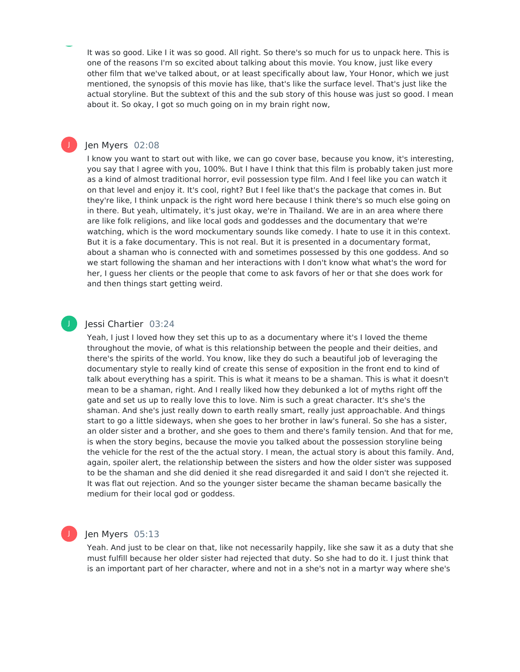It was so good. Like I it was so good. All right. So there's so much for us to unpack here. This is one of the reasons I'm so excited about talking about this movie. You know, just like every other film that we've talked about, or at least specifically about law, Your Honor, which we just mentioned, the synopsis of this movie has like, that's like the surface level. That's just like the actual storyline. But the subtext of this and the sub story of this house was just so good. I mean about it. So okay, I got so much going on in my brain right now,

#### Jen Myers 02:08

J

J

I know you want to start out with like, we can go cover base, because you know, it's interesting, you say that I agree with you, 100%. But I have I think that this film is probably taken just more as a kind of almost traditional horror, evil possession type film. And I feel like you can watch it on that level and enjoy it. It's cool, right? But I feel like that's the package that comes in. But they're like, I think unpack is the right word here because I think there's so much else going on in there. But yeah, ultimately, it's just okay, we're in Thailand. We are in an area where there are like folk religions, and like local gods and goddesses and the documentary that we're watching, which is the word mockumentary sounds like comedy. I hate to use it in this context. But it is a fake documentary. This is not real. But it is presented in a documentary format, about a shaman who is connected with and sometimes possessed by this one goddess. And so we start following the shaman and her interactions with I don't know what what's the word for her, I guess her clients or the people that come to ask favors of her or that she does work for and then things start getting weird.

#### Jessi Chartier 03:24

Yeah, I just I loved how they set this up to as a documentary where it's I loved the theme throughout the movie, of what is this relationship between the people and their deities, and there's the spirits of the world. You know, like they do such a beautiful job of leveraging the documentary style to really kind of create this sense of exposition in the front end to kind of talk about everything has a spirit. This is what it means to be a shaman. This is what it doesn't mean to be a shaman, right. And I really liked how they debunked a lot of myths right off the gate and set us up to really love this to love. Nim is such a great character. It's she's the shaman. And she's just really down to earth really smart, really just approachable. And things start to go a little sideways, when she goes to her brother in law's funeral. So she has a sister, an older sister and a brother, and she goes to them and there's family tension. And that for me, is when the story begins, because the movie you talked about the possession storyline being the vehicle for the rest of the the actual story. I mean, the actual story is about this family. And, again, spoiler alert, the relationship between the sisters and how the older sister was supposed to be the shaman and she did denied it she read disregarded it and said I don't she rejected it. It was flat out rejection. And so the younger sister became the shaman became basically the medium for their local god or goddess.

#### Jen Myers 05:13

Yeah. And just to be clear on that, like not necessarily happily, like she saw it as a duty that she must fulfill because her older sister had rejected that duty. So she had to do it. I just think that is an important part of her character, where and not in a she's not in a martyr way where she's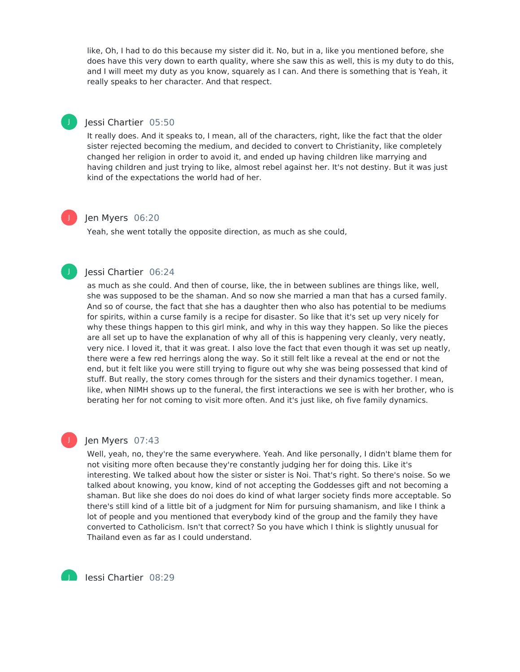like, Oh, I had to do this because my sister did it. No, but in a, like you mentioned before, she does have this very down to earth quality, where she saw this as well, this is my duty to do this, and I will meet my duty as you know, squarely as I can. And there is something that is Yeah, it really speaks to her character. And that respect.

#### Jessi Chartier 05:50

It really does. And it speaks to, I mean, all of the characters, right, like the fact that the older sister rejected becoming the medium, and decided to convert to Christianity, like completely changed her religion in order to avoid it, and ended up having children like marrying and having children and just trying to like, almost rebel against her. It's not destiny. But it was just kind of the expectations the world had of her.

## J

J

#### Jen Myers 06:20

Yeah, she went totally the opposite direction, as much as she could,

## J

#### Jessi Chartier 06:24

as much as she could. And then of course, like, the in between sublines are things like, well, she was supposed to be the shaman. And so now she married a man that has a cursed family. And so of course, the fact that she has a daughter then who also has potential to be mediums for spirits, within a curse family is a recipe for disaster. So like that it's set up very nicely for why these things happen to this girl mink, and why in this way they happen. So like the pieces are all set up to have the explanation of why all of this is happening very cleanly, very neatly, very nice. I loved it, that it was great. I also love the fact that even though it was set up neatly, there were a few red herrings along the way. So it still felt like a reveal at the end or not the end, but it felt like you were still trying to figure out why she was being possessed that kind of stuff. But really, the story comes through for the sisters and their dynamics together. I mean, like, when NIMH shows up to the funeral, the first interactions we see is with her brother, who is berating her for not coming to visit more often. And it's just like, oh five family dynamics.

#### Jen Myers 07:43

J

J

Well, yeah, no, they're the same everywhere. Yeah. And like personally, I didn't blame them for not visiting more often because they're constantly judging her for doing this. Like it's interesting. We talked about how the sister or sister is Noi. That's right. So there's noise. So we talked about knowing, you know, kind of not accepting the Goddesses gift and not becoming a shaman. But like she does do noi does do kind of what larger society finds more acceptable. So there's still kind of a little bit of a judgment for Nim for pursuing shamanism, and like I think a lot of people and you mentioned that everybody kind of the group and the family they have converted to Catholicism. Isn't that correct? So you have which I think is slightly unusual for Thailand even as far as I could understand.

Jessi Chartier 08:29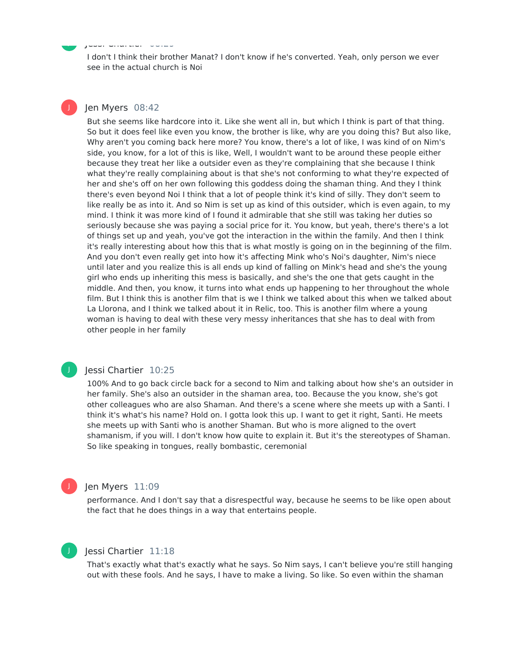I don't I think their brother Manat? I don't know if he's converted. Yeah, only person we ever see in the actual church is Noi

#### Jen Myers 08:42

Jessi Chartier 08:29

J

J

But she seems like hardcore into it. Like she went all in, but which I think is part of that thing. So but it does feel like even you know, the brother is like, why are you doing this? But also like, Why aren't you coming back here more? You know, there's a lot of like, I was kind of on Nim's side, you know, for a lot of this is like, Well, I wouldn't want to be around these people either because they treat her like a outsider even as they're complaining that she because I think what they're really complaining about is that she's not conforming to what they're expected of her and she's off on her own following this goddess doing the shaman thing. And they I think there's even beyond Noi I think that a lot of people think it's kind of silly. They don't seem to like really be as into it. And so Nim is set up as kind of this outsider, which is even again, to my mind. I think it was more kind of I found it admirable that she still was taking her duties so seriously because she was paying a social price for it. You know, but yeah, there's there's a lot of things set up and yeah, you've got the interaction in the within the family. And then I think it's really interesting about how this that is what mostly is going on in the beginning of the film. And you don't even really get into how it's affecting Mink who's Noi's daughter, Nim's niece until later and you realize this is all ends up kind of falling on Mink's head and she's the young girl who ends up inheriting this mess is basically, and she's the one that gets caught in the middle. And then, you know, it turns into what ends up happening to her throughout the whole film. But I think this is another film that is we I think we talked about this when we talked about La Llorona, and I think we talked about it in Relic, too. This is another film where a young woman is having to deal with these very messy inheritances that she has to deal with from other people in her family

#### Jessi Chartier 10:25

J

J

100% And to go back circle back for a second to Nim and talking about how she's an outsider in her family. She's also an outsider in the shaman area, too. Because the you know, she's got other colleagues who are also Shaman. And there's a scene where she meets up with a Santi. I think it's what's his name? Hold on. I gotta look this up. I want to get it right, Santi. He meets she meets up with Santi who is another Shaman. But who is more aligned to the overt shamanism, if you will. I don't know how quite to explain it. But it's the stereotypes of Shaman. So like speaking in tongues, really bombastic, ceremonial

#### Jen Myers 11:09

performance. And I don't say that a disrespectful way, because he seems to be like open about the fact that he does things in a way that entertains people.

#### Jessi Chartier 11:18

That's exactly what that's exactly what he says. So Nim says, I can't believe you're still hanging out with these fools. And he says, I have to make a living. So like. So even within the shaman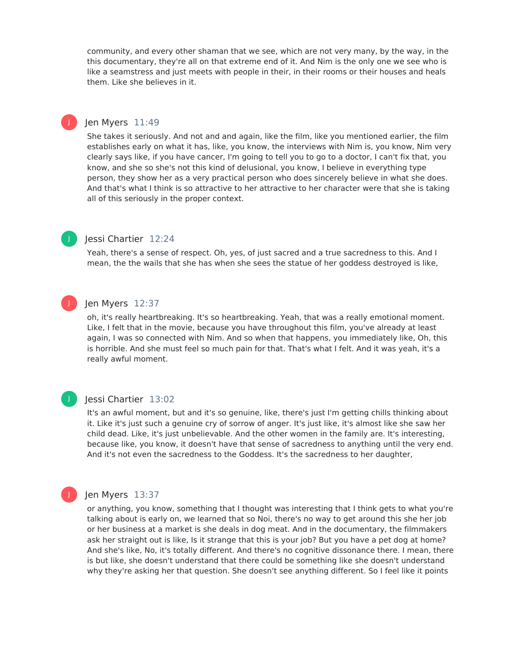community, and every other shaman that we see, which are not very many, by the way, in the this documentary, they're all on that extreme end of it. And Nim is the only one we see who is like a seamstress and just meets with people in their, in their rooms or their houses and heals them. Like she believes in it.

#### Jen Myers 11:49

She takes it seriously. And not and and again, like the film, like you mentioned earlier, the film establishes early on what it has, like, you know, the interviews with Nim is, you know, Nim very clearly says like, if you have cancer, I'm going to tell you to go to a doctor, I can't fix that, you know, and she so she's not this kind of delusional, you know, I believe in everything type person, they show her as a very practical person who does sincerely believe in what she does. And that's what I think is so attractive to her attractive to her character were that she is taking all of this seriously in the proper context.

#### Jessi Chartier 12:24

Yeah, there's a sense of respect. Oh, yes, of just sacred and a true sacredness to this. And I mean, the the wails that she has when she sees the statue of her goddess destroyed is like,

## J

J

J

#### Jen Myers 12:37

oh, it's really heartbreaking. It's so heartbreaking. Yeah, that was a really emotional moment. Like, I felt that in the movie, because you have throughout this film, you've already at least again, I was so connected with Nim. And so when that happens, you immediately like, Oh, this is horrible. And she must feel so much pain for that. That's what I felt. And it was yeah, it's a really awful moment.

## J

#### Jessi Chartier 13:02

It's an awful moment, but and it's so genuine, like, there's just I'm getting chills thinking about it. Like it's just such a genuine cry of sorrow of anger. It's just like, it's almost like she saw her child dead. Like, it's just unbelievable. And the other women in the family are. It's interesting, because like, you know, it doesn't have that sense of sacredness to anything until the very end. And it's not even the sacredness to the Goddess. It's the sacredness to her daughter,

### Jen Myers 13:37

or anything, you know, something that I thought was interesting that I think gets to what you're talking about is early on, we learned that so Noi, there's no way to get around this she her job or her business at a market is she deals in dog meat. And in the documentary, the filmmakers ask her straight out is like, Is it strange that this is your job? But you have a pet dog at home? And she's like, No, it's totally different. And there's no cognitive dissonance there. I mean, there is but like, she doesn't understand that there could be something like she doesn't understand why they're asking her that question. She doesn't see anything different. So I feel like it points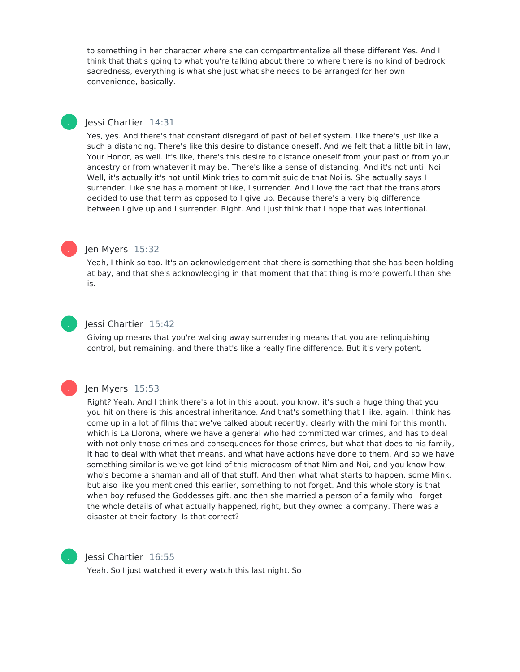to something in her character where she can compartmentalize all these different Yes. And I think that that's going to what you're talking about there to where there is no kind of bedrock sacredness, everything is what she just what she needs to be arranged for her own convenience, basically.

#### Jessi Chartier 14:31

Yes, yes. And there's that constant disregard of past of belief system. Like there's just like a such a distancing. There's like this desire to distance oneself. And we felt that a little bit in law, Your Honor, as well. It's like, there's this desire to distance oneself from your past or from your ancestry or from whatever it may be. There's like a sense of distancing. And it's not until Noi. Well, it's actually it's not until Mink tries to commit suicide that Noi is. She actually says I surrender. Like she has a moment of like, I surrender. And I love the fact that the translators decided to use that term as opposed to I give up. Because there's a very big difference between I give up and I surrender. Right. And I just think that I hope that was intentional.



J

#### Jen Myers 15:32

Yeah, I think so too. It's an acknowledgement that there is something that she has been holding at bay, and that she's acknowledging in that moment that that thing is more powerful than she is.



#### Jessi Chartier 15:42

Giving up means that you're walking away surrendering means that you are relinquishing control, but remaining, and there that's like a really fine difference. But it's very potent.

#### J

#### Jen Myers 15:53

Right? Yeah. And I think there's a lot in this about, you know, it's such a huge thing that you you hit on there is this ancestral inheritance. And that's something that I like, again, I think has come up in a lot of films that we've talked about recently, clearly with the mini for this month, which is La Llorona, where we have a general who had committed war crimes, and has to deal with not only those crimes and consequences for those crimes, but what that does to his family, it had to deal with what that means, and what have actions have done to them. And so we have something similar is we've got kind of this microcosm of that Nim and Noi, and you know how, who's become a shaman and all of that stuff. And then what what starts to happen, some Mink, but also like you mentioned this earlier, something to not forget. And this whole story is that when boy refused the Goddesses gift, and then she married a person of a family who I forget the whole details of what actually happened, right, but they owned a company. There was a disaster at their factory. Is that correct?



#### Jessi Chartier 16:55

Yeah. So I just watched it every watch this last night. So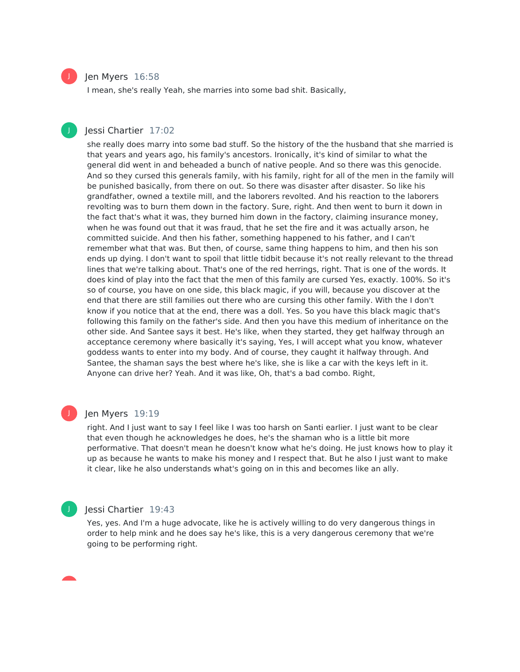

J

#### Jen Myers 16:58

I mean, she's really Yeah, she marries into some bad shit. Basically,

#### Jessi Chartier 17:02

she really does marry into some bad stuff. So the history of the the husband that she married is that years and years ago, his family's ancestors. Ironically, it's kind of similar to what the general did went in and beheaded a bunch of native people. And so there was this genocide. And so they cursed this generals family, with his family, right for all of the men in the family will be punished basically, from there on out. So there was disaster after disaster. So like his grandfather, owned a textile mill, and the laborers revolted. And his reaction to the laborers revolting was to burn them down in the factory. Sure, right. And then went to burn it down in the fact that's what it was, they burned him down in the factory, claiming insurance money, when he was found out that it was fraud, that he set the fire and it was actually arson, he committed suicide. And then his father, something happened to his father, and I can't remember what that was. But then, of course, same thing happens to him, and then his son ends up dying. I don't want to spoil that little tidbit because it's not really relevant to the thread lines that we're talking about. That's one of the red herrings, right. That is one of the words. It does kind of play into the fact that the men of this family are cursed Yes, exactly. 100%. So it's so of course, you have on one side, this black magic, if you will, because you discover at the end that there are still families out there who are cursing this other family. With the I don't know if you notice that at the end, there was a doll. Yes. So you have this black magic that's following this family on the father's side. And then you have this medium of inheritance on the other side. And Santee says it best. He's like, when they started, they get halfway through an acceptance ceremony where basically it's saying, Yes, I will accept what you know, whatever goddess wants to enter into my body. And of course, they caught it halfway through. And Santee, the shaman says the best where he's like, she is like a car with the keys left in it. Anyone can drive her? Yeah. And it was like, Oh, that's a bad combo. Right,

#### J

#### Jen Myers 19:19

right. And I just want to say I feel like I was too harsh on Santi earlier. I just want to be clear that even though he acknowledges he does, he's the shaman who is a little bit more performative. That doesn't mean he doesn't know what he's doing. He just knows how to play it up as because he wants to make his money and I respect that. But he also I just want to make it clear, like he also understands what's going on in this and becomes like an ally.

#### J

#### Jessi Chartier 19:43

Yes, yes. And I'm a huge advocate, like he is actively willing to do very dangerous things in order to help mink and he does say he's like, this is a very dangerous ceremony that we're going to be performing right.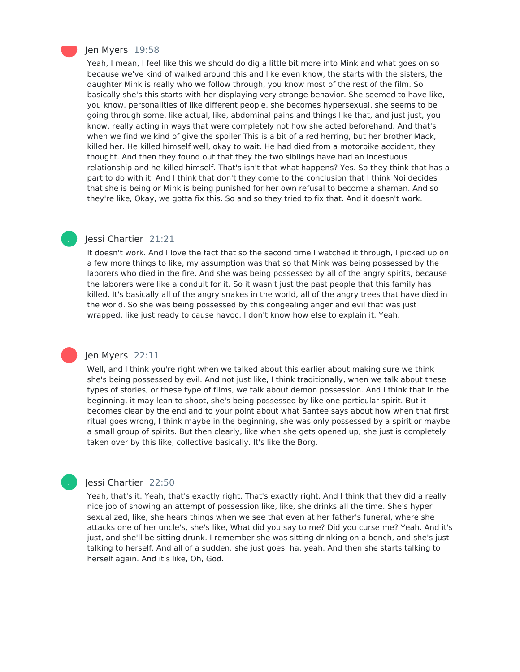

J

J

#### Jen Myers 19:58

Yeah, I mean, I feel like this we should do dig a little bit more into Mink and what goes on so because we've kind of walked around this and like even know, the starts with the sisters, the daughter Mink is really who we follow through, you know most of the rest of the film. So basically she's this starts with her displaying very strange behavior. She seemed to have like, you know, personalities of like different people, she becomes hypersexual, she seems to be going through some, like actual, like, abdominal pains and things like that, and just just, you know, really acting in ways that were completely not how she acted beforehand. And that's when we find we kind of give the spoiler This is a bit of a red herring, but her brother Mack, killed her. He killed himself well, okay to wait. He had died from a motorbike accident, they thought. And then they found out that they the two siblings have had an incestuous relationship and he killed himself. That's isn't that what happens? Yes. So they think that has a part to do with it. And I think that don't they come to the conclusion that I think Noi decides that she is being or Mink is being punished for her own refusal to become a shaman. And so they're like, Okay, we gotta fix this. So and so they tried to fix that. And it doesn't work.

#### Jessi Chartier 21:21

It doesn't work. And I love the fact that so the second time I watched it through, I picked up on a few more things to like, my assumption was that so that Mink was being possessed by the laborers who died in the fire. And she was being possessed by all of the angry spirits, because the laborers were like a conduit for it. So it wasn't just the past people that this family has killed. It's basically all of the angry snakes in the world, all of the angry trees that have died in the world. So she was being possessed by this congealing anger and evil that was just wrapped, like just ready to cause havoc. I don't know how else to explain it. Yeah.

#### Jen Myers 22:11

Well, and I think you're right when we talked about this earlier about making sure we think she's being possessed by evil. And not just like, I think traditionally, when we talk about these types of stories, or these type of films, we talk about demon possession. And I think that in the beginning, it may lean to shoot, she's being possessed by like one particular spirit. But it becomes clear by the end and to your point about what Santee says about how when that first ritual goes wrong, I think maybe in the beginning, she was only possessed by a spirit or maybe a small group of spirits. But then clearly, like when she gets opened up, she just is completely taken over by this like, collective basically. It's like the Borg.

#### Jessi Chartier 22:50

Yeah, that's it. Yeah, that's exactly right. That's exactly right. And I think that they did a really nice job of showing an attempt of possession like, like, she drinks all the time. She's hyper sexualized, like, she hears things when we see that even at her father's funeral, where she attacks one of her uncle's, she's like, What did you say to me? Did you curse me? Yeah. And it's just, and she'll be sitting drunk. I remember she was sitting drinking on a bench, and she's just talking to herself. And all of a sudden, she just goes, ha, yeah. And then she starts talking to herself again. And it's like, Oh, God.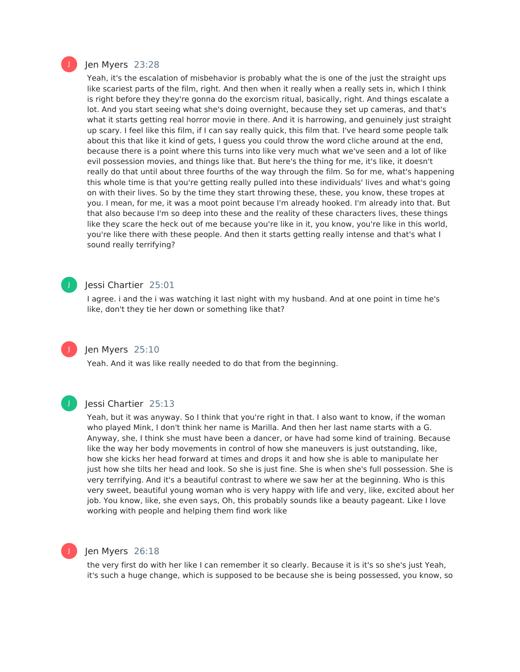

#### Jen Myers 23:28

Yeah, it's the escalation of misbehavior is probably what the is one of the just the straight ups like scariest parts of the film, right. And then when it really when a really sets in, which I think is right before they they're gonna do the exorcism ritual, basically, right. And things escalate a lot. And you start seeing what she's doing overnight, because they set up cameras, and that's what it starts getting real horror movie in there. And it is harrowing, and genuinely just straight up scary. I feel like this film, if I can say really quick, this film that. I've heard some people talk about this that like it kind of gets, I guess you could throw the word cliche around at the end, because there is a point where this turns into like very much what we've seen and a lot of like evil possession movies, and things like that. But here's the thing for me, it's like, it doesn't really do that until about three fourths of the way through the film. So for me, what's happening this whole time is that you're getting really pulled into these individuals' lives and what's going on with their lives. So by the time they start throwing these, these, you know, these tropes at you. I mean, for me, it was a moot point because I'm already hooked. I'm already into that. But that also because I'm so deep into these and the reality of these characters lives, these things like they scare the heck out of me because you're like in it, you know, you're like in this world, you're like there with these people. And then it starts getting really intense and that's what I sound really terrifying?

#### J

#### Jessi Chartier 25:01

I agree. i and the i was watching it last night with my husband. And at one point in time he's like, don't they tie her down or something like that?

## J

#### Jen Myers 25:10

Yeah. And it was like really needed to do that from the beginning.



#### Jessi Chartier 25:13

Yeah, but it was anyway. So I think that you're right in that. I also want to know, if the woman who played Mink, I don't think her name is Marilla. And then her last name starts with a G. Anyway, she, I think she must have been a dancer, or have had some kind of training. Because like the way her body movements in control of how she maneuvers is just outstanding, like, how she kicks her head forward at times and drops it and how she is able to manipulate her just how she tilts her head and look. So she is just fine. She is when she's full possession. She is very terrifying. And it's a beautiful contrast to where we saw her at the beginning. Who is this very sweet, beautiful young woman who is very happy with life and very, like, excited about her job. You know, like, she even says, Oh, this probably sounds like a beauty pageant. Like I love working with people and helping them find work like



#### Jen Myers 26:18

the very first do with her like I can remember it so clearly. Because it is it's so she's just Yeah, it's such a huge change, which is supposed to be because she is being possessed, you know, so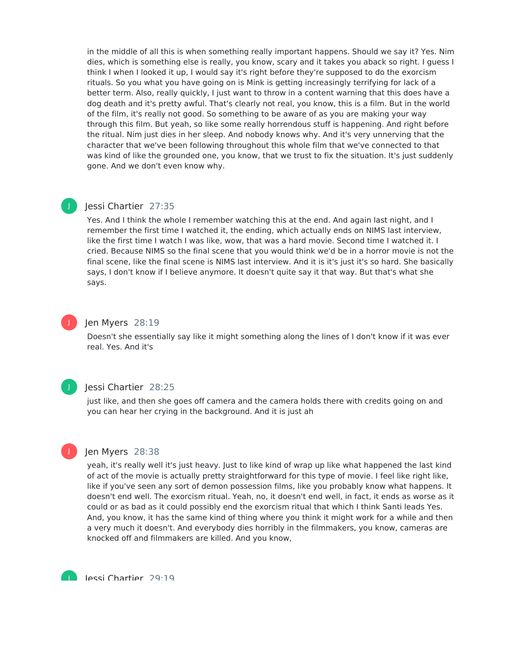in the middle of all this is when something really important happens. Should we say it? Yes. Nim dies, which is something else is really, you know, scary and it takes you aback so right. I guess I think I when I looked it up, I would say it's right before they're supposed to do the exorcism rituals. So you what you have going on is Mink is getting increasingly terrifying for lack of a better term. Also, really quickly, I just want to throw in a content warning that this does have a dog death and it's pretty awful. That's clearly not real, you know, this is a film. But in the world of the film, it's really not good. So something to be aware of as you are making your way through this film. But yeah, so like some really horrendous stuff is happening. And right before the ritual. Nim just dies in her sleep. And nobody knows why. And it's very unnerving that the character that we've been following throughout this whole film that we've connected to that was kind of like the grounded one, you know, that we trust to fix the situation. It's just suddenly gone. And we don't even know why.

#### Jessi Chartier 27:35

Yes. And I think the whole I remember watching this at the end. And again last night, and I remember the first time I watched it, the ending, which actually ends on NIMS last interview, like the first time I watch I was like, wow, that was a hard movie. Second time I watched it. I cried. Because NIMS so the final scene that you would think we'd be in a horror movie is not the final scene, like the final scene is NIMS last interview. And it is it's just it's so hard. She basically says, I don't know if I believe anymore. It doesn't quite say it that way. But that's what she says.

#### Jen Myers 28:19

Doesn't she essentially say like it might something along the lines of I don't know if it was ever real. Yes. And it's



J

J

#### Jessi Chartier 28:25

just like, and then she goes off camera and the camera holds there with credits going on and you can hear her crying in the background. And it is just ah



J

#### Jen Myers 28:38

yeah, it's really well it's just heavy. Just to like kind of wrap up like what happened the last kind of act of the movie is actually pretty straightforward for this type of movie. I feel like right like, like if you've seen any sort of demon possession films, like you probably know what happens. It doesn't end well. The exorcism ritual. Yeah, no, it doesn't end well, in fact, it ends as worse as it could or as bad as it could possibly end the exorcism ritual that which I think Santi leads Yes. And, you know, it has the same kind of thing where you think it might work for a while and then a very much it doesn't. And everybody dies horribly in the filmmakers, you know, cameras are knocked off and filmmakers are killed. And you know,

Jessi Chartier 29:19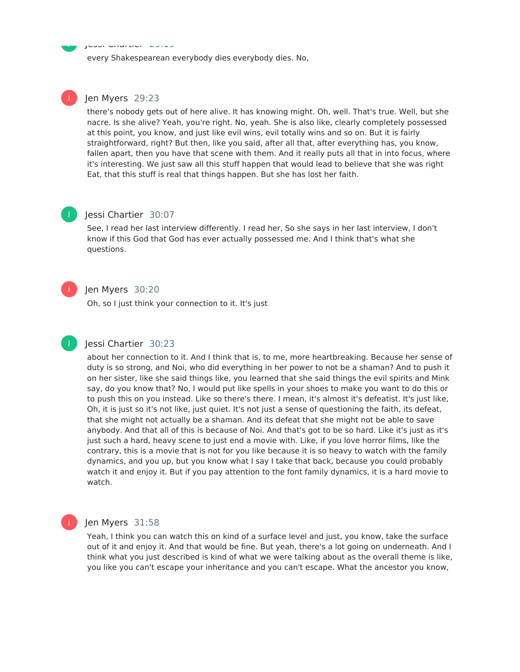Jessi Chartier 29:19

every Shakespearean everybody dies everybody dies. No,

#### Jen Myers 29:23

there's nobody gets out of here alive. It has knowing might. Oh, well. That's true. Well, but she nacre. Is she alive? Yeah, you're right. No, yeah. She is also like, clearly completely possessed at this point, you know, and just like evil wins, evil totally wins and so on. But it is fairly straightforward, right? But then, like you said, after all that, after everything has, you know, fallen apart, then you have that scene with them. And it really puts all that in into focus, where it's interesting. We just saw all this stuff happen that would lead to believe that she was right Eat, that this stuff is real that things happen. But she has lost her faith.

## J

J

J

J

J

#### Jessi Chartier 30:07

See, I read her last interview differently. I read her, So she says in her last interview, I don't know if this God that God has ever actually possessed me. And I think that's what she questions.

### Jen Myers 30:20

Oh, so I just think your connection to it. It's just

## Jessi Chartier 30:23

about her connection to it. And I think that is, to me, more heartbreaking. Because her sense of duty is so strong, and Noi, who did everything in her power to not be a shaman? And to push it on her sister, like she said things like, you learned that she said things the evil spirits and Mink say, do you know that? No, I would put like spells in your shoes to make you want to do this or to push this on you instead. Like so there's there. I mean, it's almost it's defeatist. It's just like, Oh, it is just so it's not like, just quiet. It's not just a sense of questioning the faith, its defeat, that she might not actually be a shaman. And its defeat that she might not be able to save anybody. And that all of this is because of Noi. And that's got to be so hard. Like it's just as it's just such a hard, heavy scene to just end a movie with. Like, if you love horror films, like the contrary, this is a movie that is not for you like because it is so heavy to watch with the family dynamics, and you up, but you know what I say I take that back, because you could probably watch it and enjoy it. But if you pay attention to the font family dynamics, it is a hard movie to watch.

#### Jen Myers 31:58

Yeah, I think you can watch this on kind of a surface level and just, you know, take the surface out of it and enjoy it. And that would be fine. But yeah, there's a lot going on underneath. And I think what you just described is kind of what we were talking about as the overall theme is like, you like you can't escape your inheritance and you can't escape. What the ancestor you know,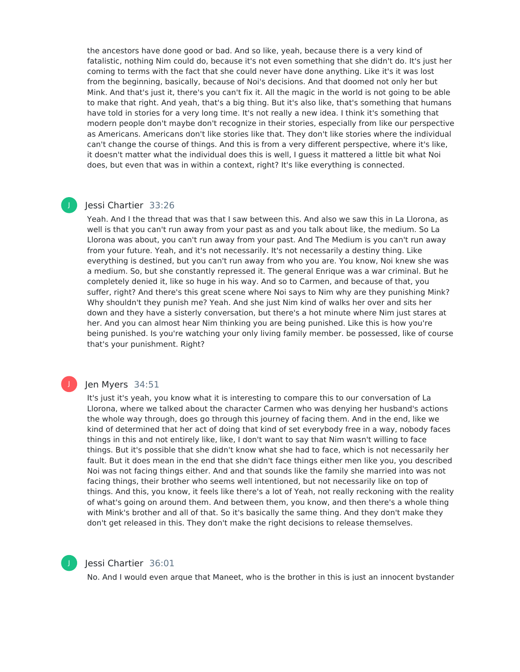the ancestors have done good or bad. And so like, yeah, because there is a very kind of fatalistic, nothing Nim could do, because it's not even something that she didn't do. It's just her coming to terms with the fact that she could never have done anything. Like it's it was lost from the beginning, basically, because of Noi's decisions. And that doomed not only her but Mink. And that's just it, there's you can't fix it. All the magic in the world is not going to be able to make that right. And yeah, that's a big thing. But it's also like, that's something that humans have told in stories for a very long time. It's not really a new idea. I think it's something that modern people don't maybe don't recognize in their stories, especially from like our perspective as Americans. Americans don't like stories like that. They don't like stories where the individual can't change the course of things. And this is from a very different perspective, where it's like, it doesn't matter what the individual does this is well, I guess it mattered a little bit what Noi does, but even that was in within a context, right? It's like everything is connected.

#### Jessi Chartier 33:26

J

J

Yeah. And I the thread that was that I saw between this. And also we saw this in La Llorona, as well is that you can't run away from your past as and you talk about like, the medium. So La Llorona was about, you can't run away from your past. And The Medium is you can't run away from your future. Yeah, and it's not necessarily. It's not necessarily a destiny thing. Like everything is destined, but you can't run away from who you are. You know, Noi knew she was a medium. So, but she constantly repressed it. The general Enrique was a war criminal. But he completely denied it, like so huge in his way. And so to Carmen, and because of that, you suffer, right? And there's this great scene where Noi says to Nim why are they punishing Mink? Why shouldn't they punish me? Yeah. And she just Nim kind of walks her over and sits her down and they have a sisterly conversation, but there's a hot minute where Nim just stares at her. And you can almost hear Nim thinking you are being punished. Like this is how you're being punished. Is you're watching your only living family member. be possessed, like of course that's your punishment. Right?

#### Jen Myers 34:51

It's just it's yeah, you know what it is interesting to compare this to our conversation of La Llorona, where we talked about the character Carmen who was denying her husband's actions the whole way through, does go through this journey of facing them. And in the end, like we kind of determined that her act of doing that kind of set everybody free in a way, nobody faces things in this and not entirely like, like, I don't want to say that Nim wasn't willing to face things. But it's possible that she didn't know what she had to face, which is not necessarily her fault. But it does mean in the end that she didn't face things either men like you, you described Noi was not facing things either. And and that sounds like the family she married into was not facing things, their brother who seems well intentioned, but not necessarily like on top of things. And this, you know, it feels like there's a lot of Yeah, not really reckoning with the reality of what's going on around them. And between them, you know, and then there's a whole thing with Mink's brother and all of that. So it's basically the same thing. And they don't make they don't get released in this. They don't make the right decisions to release themselves.



#### Jessi Chartier 36:01

No. And I would even argue that Maneet, who is the brother in this is just an innocent bystander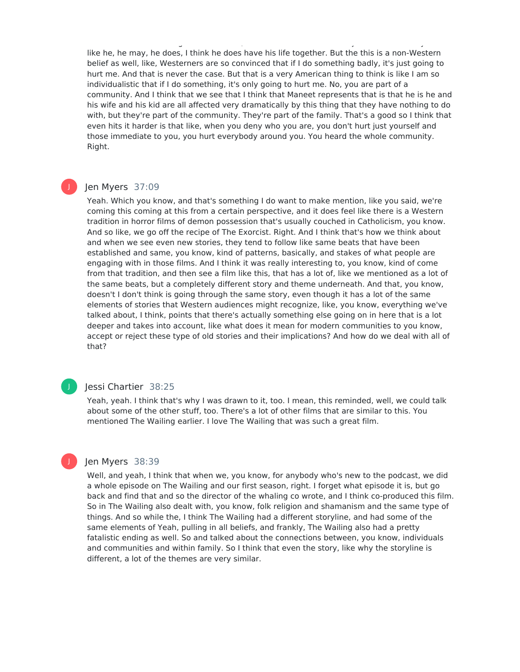like he, he may, he does, I think he does have his life together. But the this is a non-Western belief as well, like, Westerners are so convinced that if I do something badly, it's just going to hurt me. And that is never the case. But that is a very American thing to think is like I am so individualistic that if I do something, it's only going to hurt me. No, you are part of a community. And I think that we see that I think that Maneet represents that is that he is he and his wife and his kid are all affected very dramatically by this thing that they have nothing to do with, but they're part of the community. They're part of the family. That's a good so I think that even hits it harder is that like, when you deny who you are, you don't hurt just yourself and those immediate to you, you hurt everybody around you. You heard the whole community. Right.

No. And I would even argue that Maneet, who is the brother in this is just an innocent bystander

#### Jen Myers 37:09

Yeah. Which you know, and that's something I do want to make mention, like you said, we're coming this coming at this from a certain perspective, and it does feel like there is a Western tradition in horror films of demon possession that's usually couched in Catholicism, you know. And so like, we go off the recipe of The Exorcist. Right. And I think that's how we think about and when we see even new stories, they tend to follow like same beats that have been established and same, you know, kind of patterns, basically, and stakes of what people are engaging with in those films. And I think it was really interesting to, you know, kind of come from that tradition, and then see a film like this, that has a lot of, like we mentioned as a lot of the same beats, but a completely different story and theme underneath. And that, you know, doesn't I don't think is going through the same story, even though it has a lot of the same elements of stories that Western audiences might recognize, like, you know, everything we've talked about, I think, points that there's actually something else going on in here that is a lot deeper and takes into account, like what does it mean for modern communities to you know, accept or reject these type of old stories and their implications? And how do we deal with all of that?

#### J

J

#### Jessi Chartier 38:25

Yeah, yeah. I think that's why I was drawn to it, too. I mean, this reminded, well, we could talk about some of the other stuff, too. There's a lot of other films that are similar to this. You mentioned The Wailing earlier. I love The Wailing that was such a great film.

#### Jen Myers 38:39

Well, and yeah, I think that when we, you know, for anybody who's new to the podcast, we did a whole episode on The Wailing and our first season, right. I forget what episode it is, but go back and find that and so the director of the whaling co wrote, and I think co-produced this film. So in The Wailing also dealt with, you know, folk religion and shamanism and the same type of things. And so while the, I think The Wailing had a different storyline, and had some of the same elements of Yeah, pulling in all beliefs, and frankly, The Wailing also had a pretty fatalistic ending as well. So and talked about the connections between, you know, individuals and communities and within family. So I think that even the story, like why the storyline is different, a lot of the themes are very similar.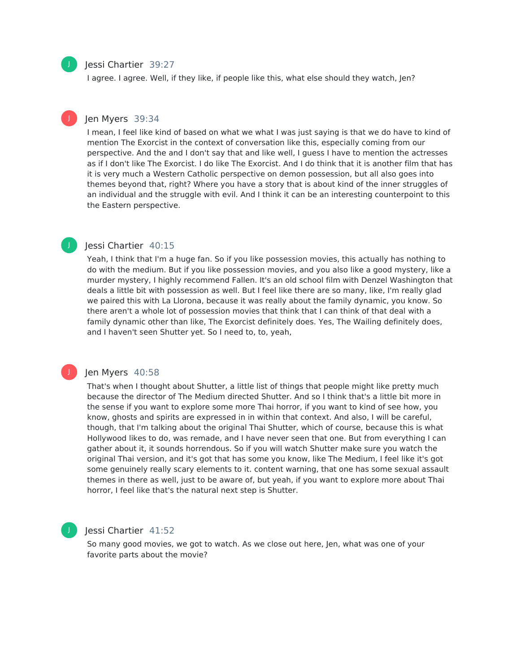#### Jessi Chartier 39:27

I agree. I agree. Well, if they like, if people like this, what else should they watch, Jen?

#### Jen Myers 39:34

I mean, I feel like kind of based on what we what I was just saying is that we do have to kind of mention The Exorcist in the context of conversation like this, especially coming from our perspective. And the and I don't say that and like well, I guess I have to mention the actresses as if I don't like The Exorcist. I do like The Exorcist. And I do think that it is another film that has it is very much a Western Catholic perspective on demon possession, but all also goes into themes beyond that, right? Where you have a story that is about kind of the inner struggles of an individual and the struggle with evil. And I think it can be an interesting counterpoint to this the Eastern perspective.

#### Jessi Chartier 40:15

Yeah, I think that I'm a huge fan. So if you like possession movies, this actually has nothing to do with the medium. But if you like possession movies, and you also like a good mystery, like a murder mystery, I highly recommend Fallen. It's an old school film with Denzel Washington that deals a little bit with possession as well. But I feel like there are so many, like, I'm really glad we paired this with La Llorona, because it was really about the family dynamic, you know. So there aren't a whole lot of possession movies that think that I can think of that deal with a family dynamic other than like, The Exorcist definitely does. Yes, The Wailing definitely does, and I haven't seen Shutter yet. So I need to, to, yeah,

#### Jen Myers 40:58

That's when I thought about Shutter, a little list of things that people might like pretty much because the director of The Medium directed Shutter. And so I think that's a little bit more in the sense if you want to explore some more Thai horror, if you want to kind of see how, you know, ghosts and spirits are expressed in in within that context. And also, I will be careful, though, that I'm talking about the original Thai Shutter, which of course, because this is what Hollywood likes to do, was remade, and I have never seen that one. But from everything I can gather about it, it sounds horrendous. So if you will watch Shutter make sure you watch the original Thai version, and it's got that has some you know, like The Medium, I feel like it's got some genuinely really scary elements to it. content warning, that one has some sexual assault themes in there as well, just to be aware of, but yeah, if you want to explore more about Thai horror, I feel like that's the natural next step is Shutter.

#### Jessi Chartier 41:52

So many good movies, we got to watch. As we close out here, Jen, what was one of your favorite parts about the movie?



J

J

J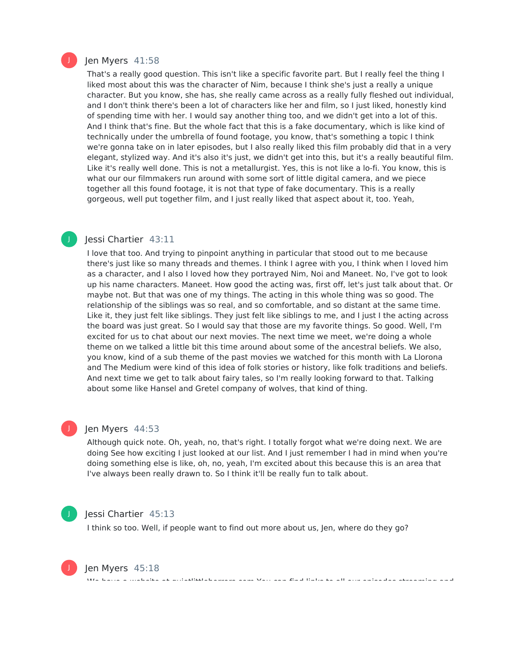

J

#### Jen Myers 41:58

That's a really good question. This isn't like a specific favorite part. But I really feel the thing I liked most about this was the character of Nim, because I think she's just a really a unique character. But you know, she has, she really came across as a really fully fleshed out individual, and I don't think there's been a lot of characters like her and film, so I just liked, honestly kind of spending time with her. I would say another thing too, and we didn't get into a lot of this. And I think that's fine. But the whole fact that this is a fake documentary, which is like kind of technically under the umbrella of found footage, you know, that's something a topic I think we're gonna take on in later episodes, but I also really liked this film probably did that in a very elegant, stylized way. And it's also it's just, we didn't get into this, but it's a really beautiful film. Like it's really well done. This is not a metallurgist. Yes, this is not like a lo-fi. You know, this is what our our filmmakers run around with some sort of little digital camera, and we piece together all this found footage, it is not that type of fake documentary. This is a really gorgeous, well put together film, and I just really liked that aspect about it, too. Yeah,

#### Jessi Chartier 43:11

I love that too. And trying to pinpoint anything in particular that stood out to me because there's just like so many threads and themes. I think I agree with you, I think when I loved him as a character, and I also I loved how they portrayed Nim, Noi and Maneet. No, I've got to look up his name characters. Maneet. How good the acting was, first off, let's just talk about that. Or maybe not. But that was one of my things. The acting in this whole thing was so good. The relationship of the siblings was so real, and so comfortable, and so distant at the same time. Like it, they just felt like siblings. They just felt like siblings to me, and I just I the acting across the board was just great. So I would say that those are my favorite things. So good. Well, I'm excited for us to chat about our next movies. The next time we meet, we're doing a whole theme on we talked a little bit this time around about some of the ancestral beliefs. We also, you know, kind of a sub theme of the past movies we watched for this month with La Llorona and The Medium were kind of this idea of folk stories or history, like folk traditions and beliefs. And next time we get to talk about fairy tales, so I'm really looking forward to that. Talking about some like Hansel and Gretel company of wolves, that kind of thing.

#### Jen Myers 44:53

Although quick note. Oh, yeah, no, that's right. I totally forgot what we're doing next. We are doing See how exciting I just looked at our list. And I just remember I had in mind when you're doing something else is like, oh, no, yeah, I'm excited about this because this is an area that I've always been really drawn to. So I think it'll be really fun to talk about.

We have a website at quietlittlehorrors.com You can find links to all our episodes streaming and



J

#### Jessi Chartier 45:13

I think so too. Well, if people want to find out more about us, Jen, where do they go?



Jen Myers 45:18